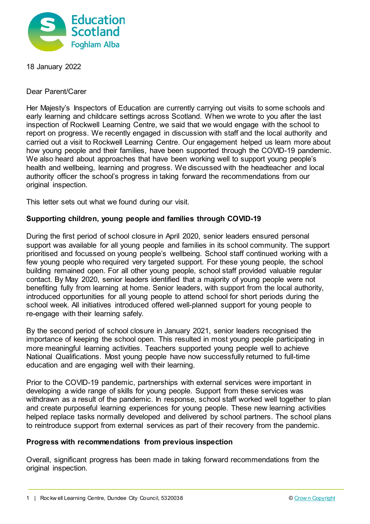

18 January 2022

Dear Parent/Carer

Her Majesty's Inspectors of Education are currently carrying out visits to some schools and early learning and childcare settings across Scotland. When we wrote to you after the last inspection of Rockwell Learning Centre, we said that we would engage with the school to report on progress. We recently engaged in discussion with staff and the local authority and carried out a visit to Rockwell Learning Centre. Our engagement helped us learn more about how young people and their families, have been supported through the COVID-19 pandemic. We also heard about approaches that have been working well to support young people's health and wellbeing, learning and progress. We discussed with the headteacher and local authority officer the school's progress in taking forward the recommendations from our original inspection.

This letter sets out what we found during our visit.

## **Supporting children, young people and families through COVID-19**

During the first period of school closure in April 2020, senior leaders ensured personal support was available for all young people and families in its school community. The support prioritised and focussed on young people's wellbeing. School staff continued working with a few young people who required very targeted support. For these young people, the school building remained open. For all other young people, school staff provided valuable regular contact. By May 2020, senior leaders identified that a majority of young people were not benefiting fully from learning at home. Senior leaders, with support from the local authority, introduced opportunities for all young people to attend school for short periods during the school week. All initiatives introduced offered well-planned support for young people to re-engage with their learning safely.

By the second period of school closure in January 2021, senior leaders recognised the importance of keeping the school open. This resulted in most young people participating in more meaningful learning activities. Teachers supported young people well to achieve National Qualifications. Most young people have now successfully returned to full-time education and are engaging well with their learning.

Prior to the COVID-19 pandemic, partnerships with external services were important in developing a wide range of skills for young people. Support from these services was withdrawn as a result of the pandemic. In response, school staff worked well together to plan and create purposeful learning experiences for young people. These new learning activities helped replace tasks normally developed and delivered by school partners. The school plans to reintroduce support from external services as part of their recovery from the pandemic.

## **Progress with recommendations from previous inspection**

Overall, significant progress has been made in taking forward recommendations from the original inspection.